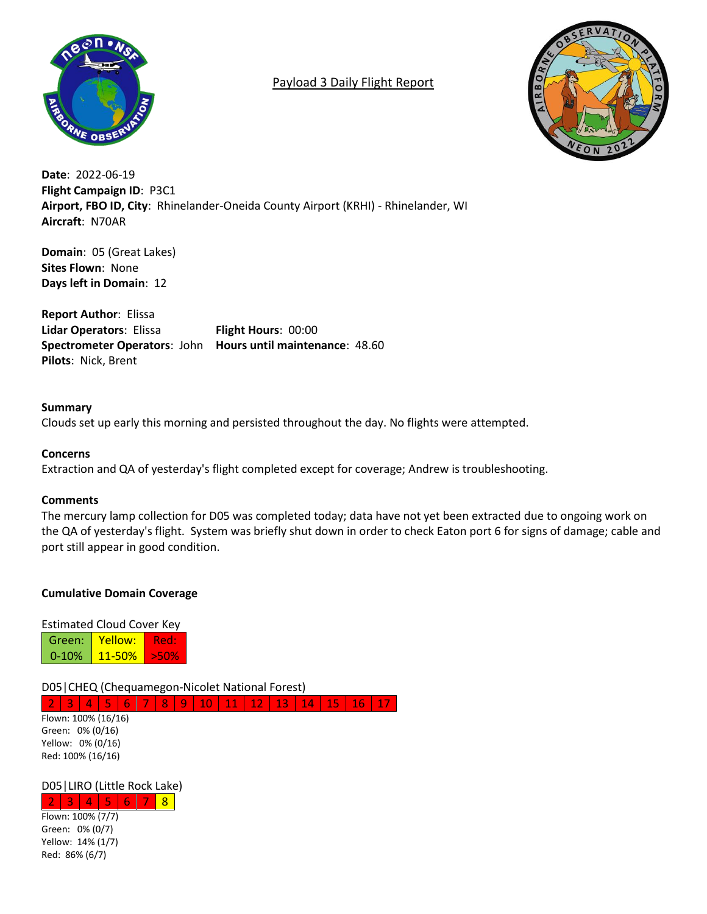

# Payload 3 Daily Flight Report



**Date**: 2022-06-19 **Flight Campaign ID**: P3C1 **Airport, FBO ID, City**: Rhinelander-Oneida County Airport (KRHI) - Rhinelander, WI **Aircraft**: N70AR

**Domain**: 05 (Great Lakes) **Sites Flown**: None **Days left in Domain**: 12

**Report Author**: Elissa **Lidar Operators**: Elissa **Flight Hours**: 00:00 **Spectrometer Operators**: John **Hours until maintenance**: 48.60 **Pilots**: Nick, Brent

## **Summary** Clouds set up early this morning and persisted throughout the day. No flights were attempted.

## **Concerns**

Extraction and QA of yesterday's flight completed except for coverage; Andrew is troubleshooting.

## **Comments**

The mercury lamp collection for D05 was completed today; data have not yet been extracted due to ongoing work on the QA of yesterday's flight. System was briefly shut down in order to check Eaton port 6 for signs of damage; cable and port still appear in good condition.

## **Cumulative Domain Coverage**

Estimated Cloud Cover Key

| Green:    | Yellow:    | кеп |  |  |  |
|-----------|------------|-----|--|--|--|
| $0 - 10%$ | $11 - 50%$ | --- |  |  |  |

D05|CHEQ (Chequamegon-Nicolet National Forest)

2 3 4 5 6 7 8 9 10 11 12 13 14 15 16 Flown: 100% (16/16) Green: 0% (0/16) Yellow: 0% (0/16) Red: 100% (16/16)

## D05|LIRO (Little Rock Lake)

 $2 | 3 | 4 | 5 | 6 | 7 | 8$ Flown: 100% (7/7) Green: 0% (0/7) Yellow: 14% (1/7) Red: 86% (6/7)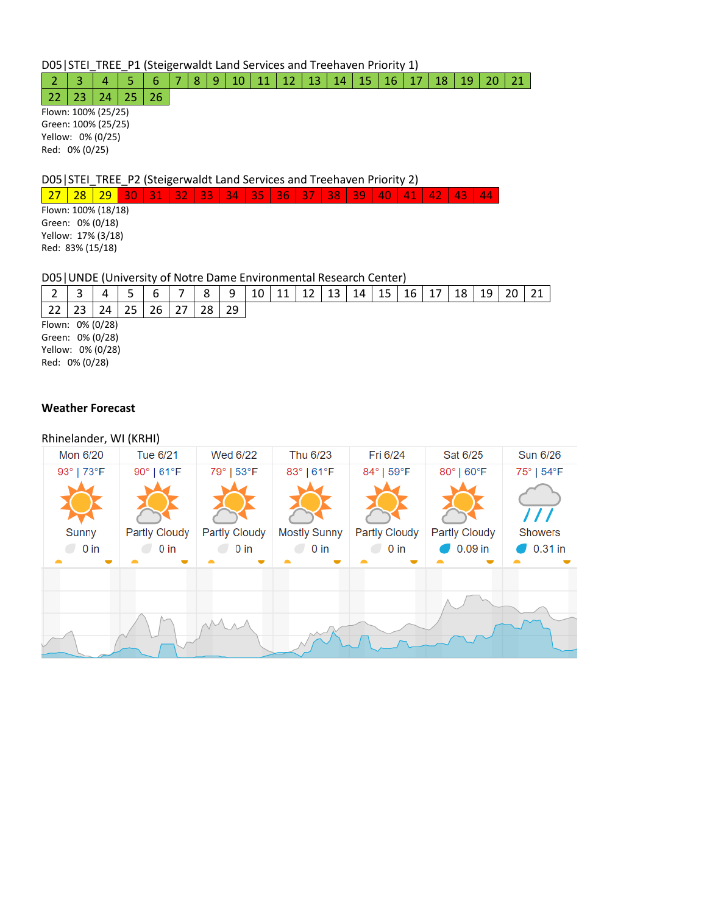D05|STEI\_TREE\_P1 (Steigerwaldt Land Services and Treehaven Priority 1)

## 2 3 4 5 6 7 8 9 10 11 12 13 14 15 16 17 18 19 20 21

 $22 \mid 23 \mid 24 \mid 25 \mid 26$ Flown: 100% (25/25) Green: 100% (25/25) Yellow: 0% (0/25) Red: 0% (0/25)

D05|STEI\_TREE\_P2 (Steigerwaldt Land Services and Treehaven Priority 2)

27 28 29 30 31 32 33 34 35 36 37 38 39 40 41 42 43 44

Flown: 100% (18/18) Green: 0% (0/18) Yellow: 17% (3/18) Red: 83% (15/18)

#### D05|UNDE (University of Notre Dame Environmental Research Center)

|                   |    | b  | 8  | 9  | 10 | 12 | 13 | 14 | 15 | 16 | 18 | 19 | 21 |
|-------------------|----|----|----|----|----|----|----|----|----|----|----|----|----|
|                   | 24 | 26 | 28 | 29 |    |    |    |    |    |    |    |    |    |
| Flown: 0% (0/28)  |    |    |    |    |    |    |    |    |    |    |    |    |    |
| Green: 0% (0/28)  |    |    |    |    |    |    |    |    |    |    |    |    |    |
| Yellow: 0% (0/28) |    |    |    |    |    |    |    |    |    |    |    |    |    |
| Red: 0% (0/28)    |    |    |    |    |    |    |    |    |    |    |    |    |    |

#### **Weather Forecast**

#### Rhinelander, WI (KRHI)

| Mon 6/20               | Tue 6/21                       | Wed 6/22                       | Thu 6/23                      | Fri 6/24                       | Sat 6/25                          | <b>Sun 6/26</b>                                  |
|------------------------|--------------------------------|--------------------------------|-------------------------------|--------------------------------|-----------------------------------|--------------------------------------------------|
| 93°   73°F             | 90°   61°F                     | 79°   53°F                     | 83°   61°F                    | 84°   59°F                     | 80°   60°F                        | 75°   54°F                                       |
| <b>Sunny</b><br>$0$ in | <b>Partly Cloudy</b><br>$0$ in | <b>Partly Cloudy</b><br>$0$ in | <b>Mostly Sunny</b><br>$0$ in | <b>Partly Cloudy</b><br>$0$ in | <b>Partly Cloudy</b><br>$0.09$ in | $\prime$ / $\prime$<br><b>Showers</b><br>0.31 in |
|                        |                                |                                |                               |                                |                                   |                                                  |